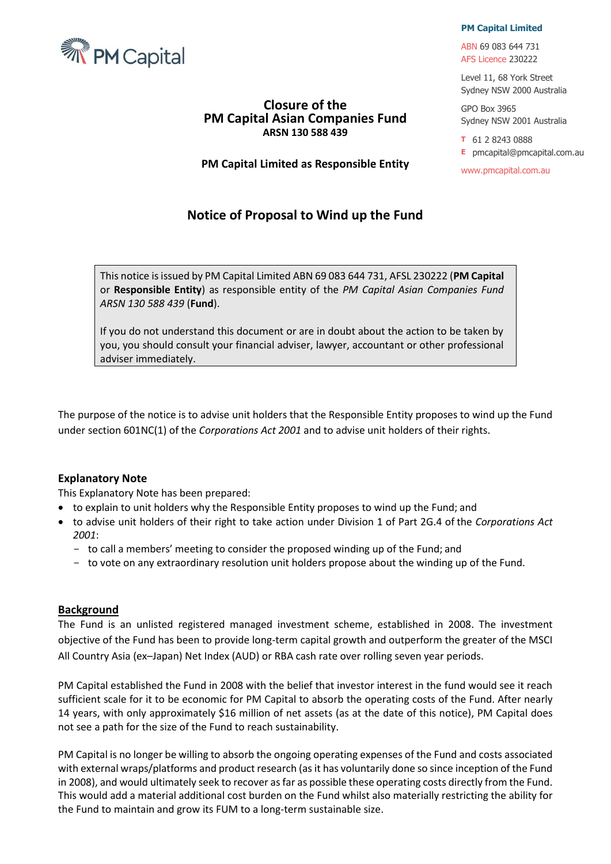

## **Closure of the PM Capital Asian Companies Fund ARSN 130 588 439**

**PM Capital Limited as Responsible Entity**

# **Notice of Proposal to Wind up the Fund**

#### **PM Capital Limited**

ABN 69 083 644 731 AFS Licence 230222

Level 11, 68 York Street Sydney NSW 2000 Australia

GPO Box 3965 Sydney NSW 2001 Australia

**T** 61 2 8243 0888

**E** pmcapital@pmcapital.com.au

www.pmcapital.com.au

This notice is issued by PM Capital Limited ABN 69 083 644 731, AFSL 230222 (**PM Capital**  or **Responsible Entity**) as responsible entity of the *PM Capital Asian Companies Fund ARSN 130 588 439* (**Fund**).

If you do not understand this document or are in doubt about the action to be taken by you, you should consult your financial adviser, lawyer, accountant or other professional adviser immediately.

The purpose of the notice is to advise unit holders that the Responsible Entity proposes to wind up the Fund under section 601NC(1) of the *Corporations Act 2001* and to advise unit holders of their rights.

### **Explanatory Note**

This Explanatory Note has been prepared:

- to explain to unit holders why the Responsible Entity proposes to wind up the Fund; and
- to advise unit holders of their right to take action under Division 1 of Part 2G.4 of the *Corporations Act 2001*:
	- to call a members' meeting to consider the proposed winding up of the Fund; and
	- to vote on any extraordinary resolution unit holders propose about the winding up of the Fund.

#### **Background**

The Fund is an unlisted registered managed investment scheme, established in 2008. The investment objective of the Fund has been to provide long-term capital growth and outperform the greater of the MSCI All Country Asia (ex–Japan) Net Index (AUD) or RBA cash rate over rolling seven year periods.

PM Capital established the Fund in 2008 with the belief that investor interest in the fund would see it reach sufficient scale for it to be economic for PM Capital to absorb the operating costs of the Fund. After nearly 14 years, with only approximately \$16 million of net assets (as at the date of this notice), PM Capital does not see a path for the size of the Fund to reach sustainability.

PM Capital is no longer be willing to absorb the ongoing operating expenses of the Fund and costs associated with external wraps/platforms and product research (as it has voluntarily done so since inception of the Fund in 2008), and would ultimately seek to recover as far as possible these operating costs directly from the Fund. This would add a material additional cost burden on the Fund whilst also materially restricting the ability for the Fund to maintain and grow its FUM to a long-term sustainable size.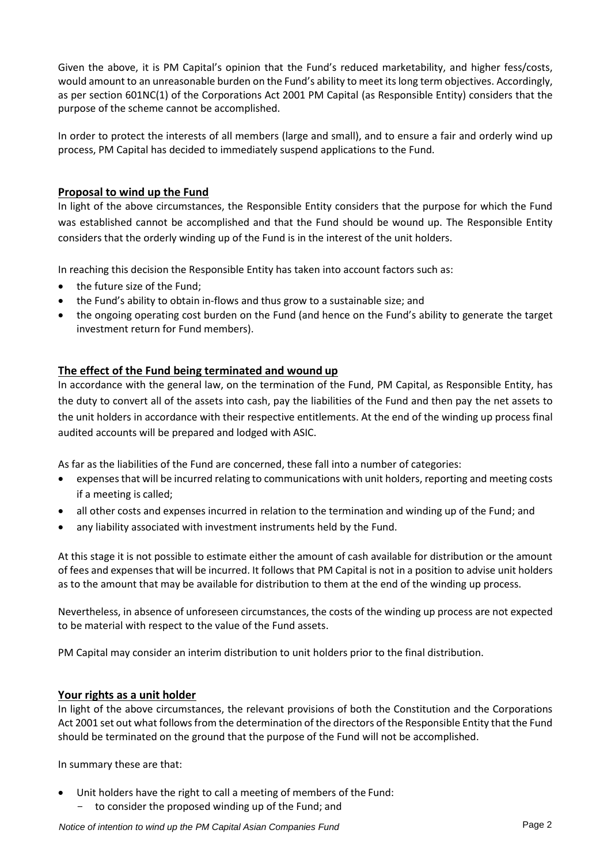Given the above, it is PM Capital's opinion that the Fund's reduced marketability, and higher fess/costs, would amount to an unreasonable burden on the Fund's ability to meet its long term objectives. Accordingly, as per section 601NC(1) of the Corporations Act 2001 PM Capital (as Responsible Entity) considers that the purpose of the scheme cannot be accomplished.

In order to protect the interests of all members (large and small), and to ensure a fair and orderly wind up process, PM Capital has decided to immediately suspend applications to the Fund.

### **Proposal to wind up the Fund**

In light of the above circumstances, the Responsible Entity considers that the purpose for which the Fund was established cannot be accomplished and that the Fund should be wound up. The Responsible Entity considers that the orderly winding up of the Fund is in the interest of the unit holders.

In reaching this decision the Responsible Entity has taken into account factors such as:

- the future size of the Fund;
- the Fund's ability to obtain in-flows and thus grow to a sustainable size; and
- the ongoing operating cost burden on the Fund (and hence on the Fund's ability to generate the target investment return for Fund members).

### **The effect of the Fund being terminated and wound up**

In accordance with the general law, on the termination of the Fund, PM Capital, as Responsible Entity, has the duty to convert all of the assets into cash, pay the liabilities of the Fund and then pay the net assets to the unit holders in accordance with their respective entitlements. At the end of the winding up process final audited accounts will be prepared and lodged with ASIC.

As far as the liabilities of the Fund are concerned, these fall into a number of categories:

- expenses that will be incurred relating to communications with unit holders, reporting and meeting costs if a meeting is called;
- all other costs and expenses incurred in relation to the termination and winding up of the Fund; and
- any liability associated with investment instruments held by the Fund.

At this stage it is not possible to estimate either the amount of cash available for distribution or the amount of fees and expenses that will be incurred. It follows that PM Capital is not in a position to advise unit holders as to the amount that may be available for distribution to them at the end of the winding up process.

Nevertheless, in absence of unforeseen circumstances, the costs of the winding up process are not expected to be material with respect to the value of the Fund assets.

PM Capital may consider an interim distribution to unit holders prior to the final distribution.

#### **Your rights as a unit holder**

In light of the above circumstances, the relevant provisions of both the Constitution and the Corporations Act 2001 set out what follows from the determination of the directors of the Responsible Entity that the Fund should be terminated on the ground that the purpose of the Fund will not be accomplished.

In summary these are that:

Unit holders have the right to call a meeting of members of the Fund: - to consider the proposed winding up of the Fund; and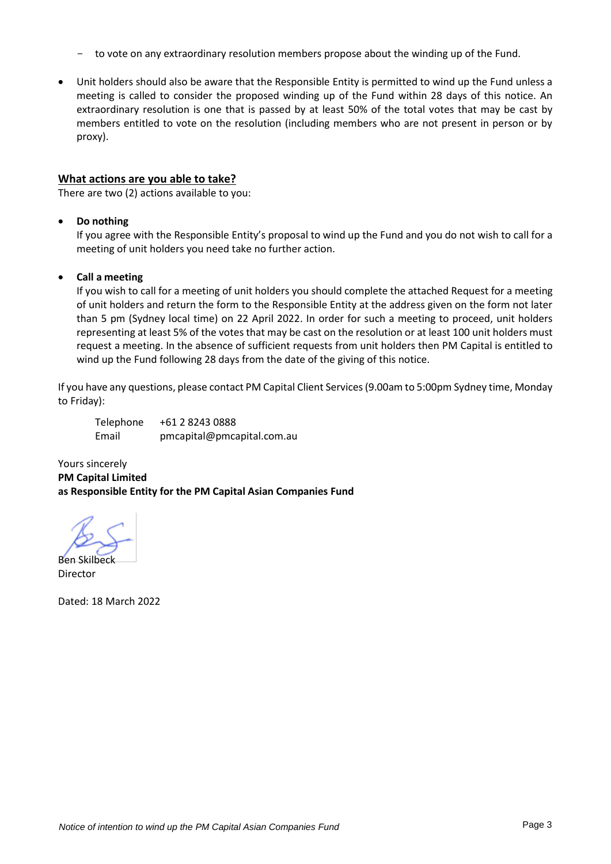- to vote on any extraordinary resolution members propose about the winding up of the Fund.
- Unit holders should also be aware that the Responsible Entity is permitted to wind up the Fund unless a meeting is called to consider the proposed winding up of the Fund within 28 days of this notice. An extraordinary resolution is one that is passed by at least 50% of the total votes that may be cast by members entitled to vote on the resolution (including members who are not present in person or by proxy).

#### **What actions are you able to take?**

There are two (2) actions available to you:

#### • **Do nothing**

If you agree with the Responsible Entity's proposal to wind up the Fund and you do not wish to call for a meeting of unit holders you need take no further action.

#### • **Call a meeting**

If you wish to call for a meeting of unit holders you should complete the attached Request for a meeting of unit holders and return the form to the Responsible Entity at the address given on the form not later than 5 pm (Sydney local time) on 22 April 2022. In order for such a meeting to proceed, unit holders representing at least 5% of the votes that may be cast on the resolution or at least 100 unit holders must request a meeting. In the absence of sufficient requests from unit holders then PM Capital is entitled to wind up the Fund following 28 days from the date of the giving of this notice.

If you have any questions, please contact PM Capital Client Services (9.00am to 5:00pm Sydney time, Monday to Friday):

| Telephone | +61 2 8243 0888            |
|-----------|----------------------------|
| Email     | pmcapital@pmcapital.com.au |

Yours sincerely **PM Capital Limited as Responsible Entity for the PM Capital Asian Companies Fund**

Ben Skilbeck Director

Dated: 18 March 2022